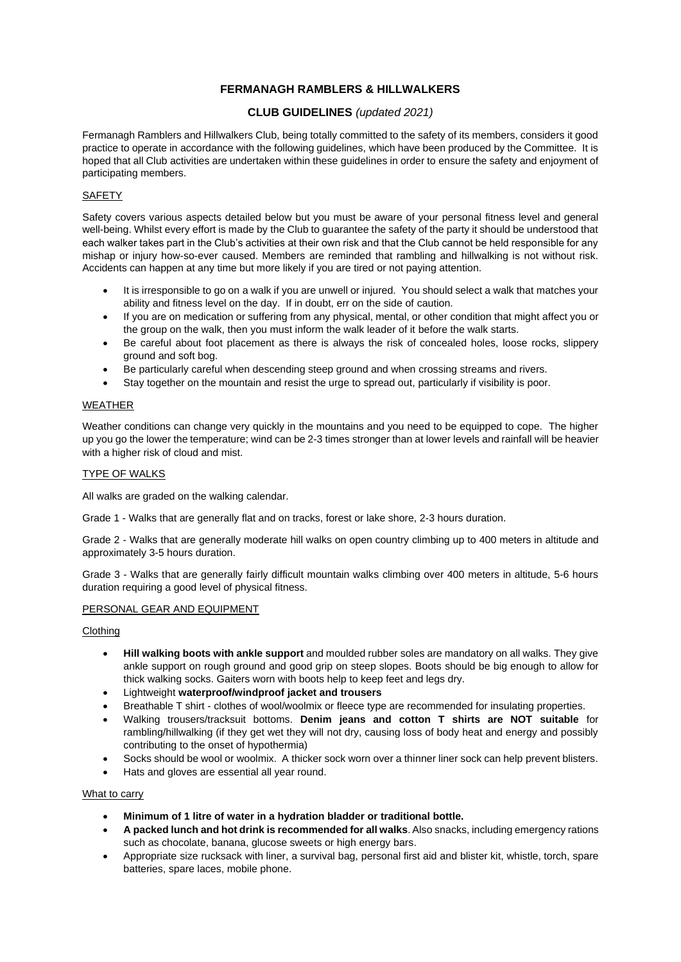# **FERMANAGH RAMBLERS & HILLWALKERS**

# **CLUB GUIDELINES** *(updated 2021)*

Fermanagh Ramblers and Hillwalkers Club, being totally committed to the safety of its members, considers it good practice to operate in accordance with the following guidelines, which have been produced by the Committee. It is hoped that all Club activities are undertaken within these guidelines in order to ensure the safety and enjoyment of participating members.

# **SAFETY**

Safety covers various aspects detailed below but you must be aware of your personal fitness level and general well-being. Whilst every effort is made by the Club to guarantee the safety of the party it should be understood that each walker takes part in the Club's activities at their own risk and that the Club cannot be held responsible for any mishap or injury how-so-ever caused. Members are reminded that rambling and hillwalking is not without risk. Accidents can happen at any time but more likely if you are tired or not paying attention.

- It is irresponsible to go on a walk if you are unwell or injured. You should select a walk that matches your ability and fitness level on the day. If in doubt, err on the side of caution.
- If you are on medication or suffering from any physical, mental, or other condition that might affect you or the group on the walk, then you must inform the walk leader of it before the walk starts.
- Be careful about foot placement as there is always the risk of concealed holes, loose rocks, slippery ground and soft bog.
- Be particularly careful when descending steep ground and when crossing streams and rivers.
- Stay together on the mountain and resist the urge to spread out, particularly if visibility is poor.

## WEATHER

Weather conditions can change very quickly in the mountains and you need to be equipped to cope. The higher up you go the lower the temperature; wind can be 2-3 times stronger than at lower levels and rainfall will be heavier with a higher risk of cloud and mist.

## TYPE OF WALKS

All walks are graded on the walking calendar.

Grade 1 - Walks that are generally flat and on tracks, forest or lake shore, 2-3 hours duration.

Grade 2 - Walks that are generally moderate hill walks on open country climbing up to 400 meters in altitude and approximately 3-5 hours duration.

Grade 3 - Walks that are generally fairly difficult mountain walks climbing over 400 meters in altitude, 5-6 hours duration requiring a good level of physical fitness.

### PERSONAL GEAR AND EQUIPMENT

#### Clothing

- **Hill walking boots with ankle support** and moulded rubber soles are mandatory on all walks. They give ankle support on rough ground and good grip on steep slopes. Boots should be big enough to allow for thick walking socks. Gaiters worn with boots help to keep feet and legs dry.
- Lightweight **waterproof/windproof jacket and trousers**
- Breathable T shirt clothes of wool/woolmix or fleece type are recommended for insulating properties.
- Walking trousers/tracksuit bottoms. **Denim jeans and cotton T shirts are NOT suitable** for rambling/hillwalking (if they get wet they will not dry, causing loss of body heat and energy and possibly contributing to the onset of hypothermia)
- Socks should be wool or woolmix. A thicker sock worn over a thinner liner sock can help prevent blisters.
- Hats and gloves are essential all year round.

#### What to carry

- **Minimum of 1 litre of water in a hydration bladder or traditional bottle.**
- **A packed lunch and hot drink is recommended for all walks**.Also snacks, including emergency rations such as chocolate, banana, glucose sweets or high energy bars.
- Appropriate size rucksack with liner, a survival bag, personal first aid and blister kit, whistle, torch, spare batteries, spare laces, mobile phone.